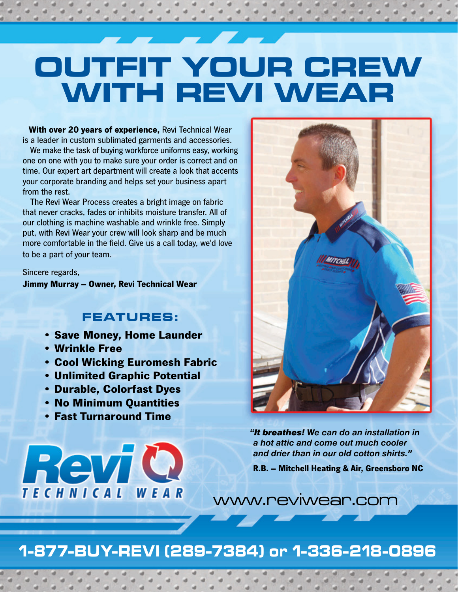## **OUTFIT YOUR CREW WITH REVI WEAR**

**With over 20 years of experience,** Revi Technical Wear is a leader in custom sublimated garments and accessories.

We make the task of buying workforce uniforms easy, working one on one with you to make sure your order is correct and on time. Our expert art department will create a look that accents your corporate branding and helps set your business apart from the rest.

The Revi Wear Process creates a bright image on fabric that never cracks, fades or inhibits moisture transfer. All of our clothing is machine washable and wrinkle free. Simply put, with Revi Wear your crew will look sharp and be much more comfortable in the field. Give us a call today, we'd love to be a part of your team.

Sincere regards,

**Jimmy Murray – Owner, Revi Technical Wear**

## **FEATURES:**

- **Save Money, Home Launder**
- **Wrinkle Free**
- **Cool Wicking Euromesh Fabric**
- **Unlimited Graphic Potential**
- **Durable, Colorfast Dyes**
- **No Minimum Quantities**
- **Fast Turnaround Time**





*"It breathes! We can do an installation in a hot attic and come out much cooler and drier than in our old cotton shirts."*

**R.B. – Mitchell Heating & Air, Greensboro NC**

www.reviwear.com

## **1-877-BUY-REVI (289-7384) or 1-336-218-0896**